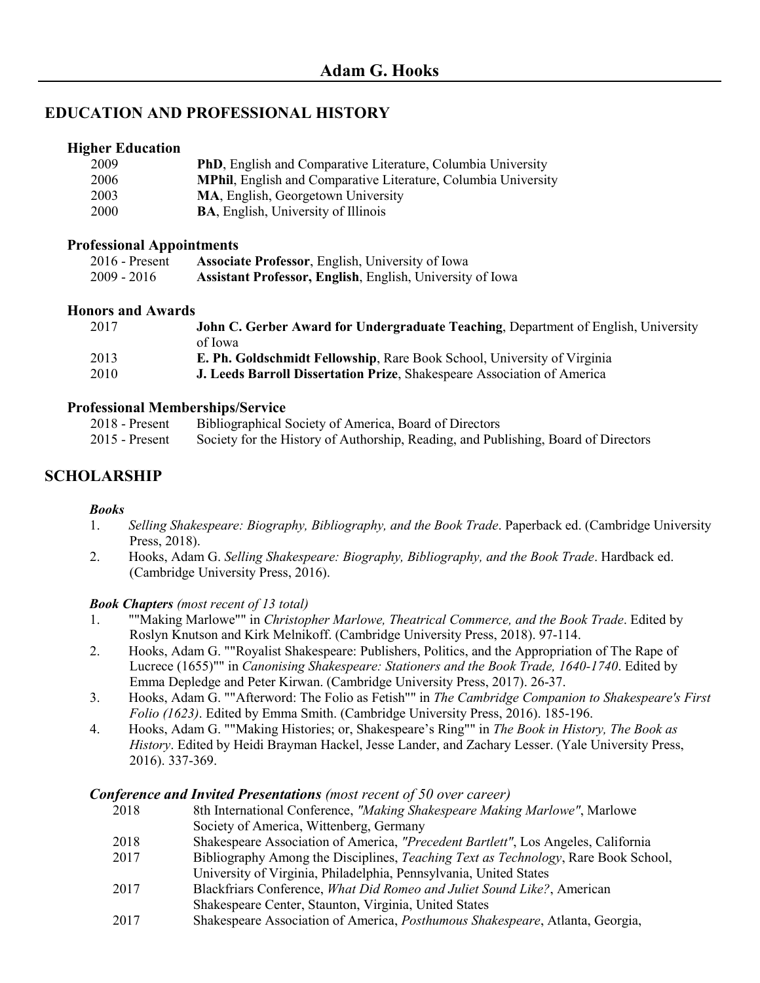### **EDUCATION AND PROFESSIONAL HISTORY**

#### **Higher Education**

| 2009        | <b>PhD</b> , English and Comparative Literature, Columbia University  |
|-------------|-----------------------------------------------------------------------|
| 2006        | <b>MPhil, English and Comparative Literature, Columbia University</b> |
| 2003        | MA, English, Georgetown University                                    |
| <b>2000</b> | <b>BA, English, University of Illinois</b>                            |

#### **Professional Appointments**

| $2016$ - Present | <b>Associate Professor, English, University of Iowa</b>          |
|------------------|------------------------------------------------------------------|
| 2009 - 2016      | <b>Assistant Professor, English, English, University of Iowa</b> |

#### **Honors and Awards**

| 2017 | John C. Gerber Award for Undergraduate Teaching, Department of English, University |
|------|------------------------------------------------------------------------------------|
|      | of Iowa                                                                            |
| 2013 | E. Ph. Goldschmidt Fellowship, Rare Book School, University of Virginia            |
| 2010 | J. Leeds Barroll Dissertation Prize, Shakespeare Association of America            |

#### **Professional Memberships/Service**

| 2018 - Present   | Bibliographical Society of America, Board of Directors                             |
|------------------|------------------------------------------------------------------------------------|
| $2015$ - Present | Society for the History of Authorship, Reading, and Publishing, Board of Directors |

# **SCHOLARSHIP**

#### *Books*

- 1. *Selling Shakespeare: Biography, Bibliography, and the Book Trade*. Paperback ed. (Cambridge University Press, 2018).
- 2. Hooks, Adam G. *Selling Shakespeare: Biography, Bibliography, and the Book Trade*. Hardback ed. (Cambridge University Press, 2016).

#### *Book Chapters (most recent of 13 total)*

- 1. ""Making Marlowe"" in *Christopher Marlowe, Theatrical Commerce, and the Book Trade*. Edited by Roslyn Knutson and Kirk Melnikoff. (Cambridge University Press, 2018). 97-114.
- 2. Hooks, Adam G. ""Royalist Shakespeare: Publishers, Politics, and the Appropriation of The Rape of Lucrece (1655)"" in *Canonising Shakespeare: Stationers and the Book Trade, 1640-1740*. Edited by Emma Depledge and Peter Kirwan. (Cambridge University Press, 2017). 26-37.
- 3. Hooks, Adam G. ""Afterword: The Folio as Fetish"" in *The Cambridge Companion to Shakespeare's First Folio (1623)*. Edited by Emma Smith. (Cambridge University Press, 2016). 185-196.
- 4. Hooks, Adam G. ""Making Histories; or, Shakespeare's Ring"" in *The Book in History, The Book as History*. Edited by Heidi Brayman Hackel, Jesse Lander, and Zachary Lesser. (Yale University Press, 2016). 337-369.

#### *Conference and Invited Presentations (most recent of 50 over career)*

- 2018 8th International Conference, *"Making Shakespeare Making Marlowe"*, Marlowe Society of America, Wittenberg, Germany
- 2018 Shakespeare Association of America, *"Precedent Bartlett"*, Los Angeles, California
- 2017 Bibliography Among the Disciplines, *Teaching Text as Technology*, Rare Book School, University of Virginia, Philadelphia, Pennsylvania, United States
- 2017 Blackfriars Conference, *What Did Romeo and Juliet Sound Like?*, American Shakespeare Center, Staunton, Virginia, United States
- 2017 Shakespeare Association of America, *Posthumous Shakespeare*, Atlanta, Georgia,